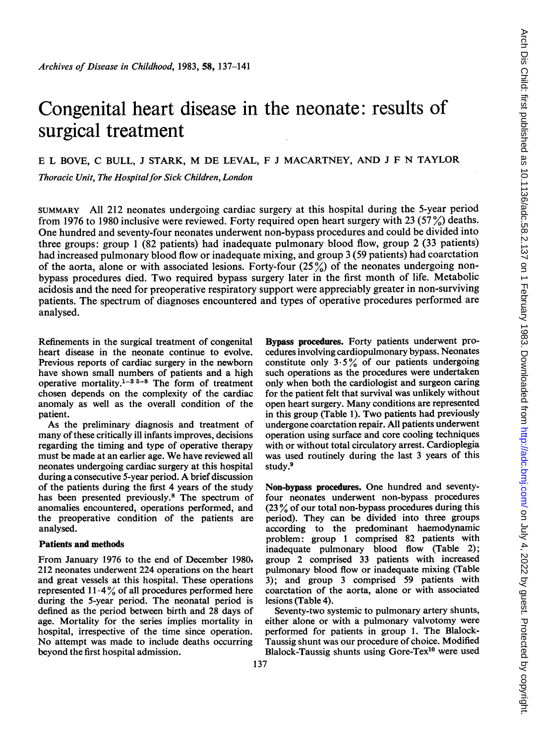# Congenital heart disease in the neonate: results of surgical treatment

# E <sup>L</sup> BOVE, C BULL, <sup>J</sup> STARK, M DE LEVAL, <sup>F</sup> <sup>J</sup> MACARTNEY, AND <sup>J</sup> <sup>F</sup> N TAYLOR

Thoracic Unit, The Hospital for Sick Children, London

SUMMARY All 212 neonates undergoing cardiac surgery at this hospital during the 5-year period from 1976 to 1980 inclusive were reviewed. Forty required open heart surgery with 23 (57 %) deaths. One hundred and seventy-four neonates underwent non-bypass procedures and could be divided into three groups: group <sup>1</sup> (82 patients) had inadequate pulmonary blood flow, group 2 (33 patients) had increased pulmonary blood flow or inadequate mixing, and group <sup>3</sup> (59 patients) had coarctation of the aorta, alone or with associated lesions. Forty-four  $(25\%)$  of the neonates undergoing nonbypass procedures died. Two required bypass surgery later in the first month of life. Metabolic acidosis and the need for preoperative respiratory support were appreciably greater in non-surviving patients. The spectrum of diagnoses encountered and types of operative procedures performed are analysed.

Refinements in the surgical treatment of congenital heart disease in the neonate continue to evolve. Previous reports of cardiac surgery in the newborn have shown small numbers of patients and a high operative mortality.<sup>1-35-8</sup> The form of treatment chosen depends on the complexity of the cardiac anomaly as well as the overall condition of the patient.

As the preliminary diagnosis and treatment of many of these critically ill infants improves, decisions regarding the timing and type of operative therapy must be made at an earlier age. We have reviewed all neonates undergoing cardiac surgery at this hospital during <sup>a</sup> consecutive 5-year period. A brief discussion of the patients during the first 4 years of the study has been presented previously.<sup>8</sup> The spectrum of anomalies encountered, operations performed, and the preoperative condition of the patients are analysed.

# Patients and methods

From January 1976 to the end of December 1980, 212 neonates underwent 224 operations on the heart and great vessels at this hospital. These operations represented  $11.4\%$  of all procedures performed here during the 5-year period. The neonatal period is defined as the period between birth and 28 days of age. Mortality for the series implies mortality in hospital, irrespective of the time since operation. No attempt was made to include deaths occurring beyond the first hospital admission.

Bypass procedures. Forty patients underwent procedures involving cardiopulmonary bypass. Neonates constitute only  $3.5\%$  of our patients undergoing such operations as the procedures were undertaken only when both the cardiologist and surgeon caring for the patient felt that survival was unlikely without open heart surgery. Many conditions are represented in this group (Table 1). Two patients had previously undergone coarctation repair. All patients underwent operation using surface and core cooling techniques with or without total circulatory arrest. Cardioplegia was used routinely during the last 3 years of this study.9

Non-bypass procedures. One hundred and seventyfour neonates underwent non-bypass procedures (23 % of our total non-bypass procedures during this period). They can be divided into three groups according to the predominant haemodynamic problem: group <sup>1</sup> comprised 82 patients with inadequate pulmonary blood flow (Table 2); group 2 comprised 33 patients with increased pulmonary blood flow or inadequate mixing (Table 3); and group 3 comprised 59 patients with coarctation of the aorta, alone or with associated lesions (Table 4).

Seventy-two systemic to pulmonary artery shunts, either alone or with a pulmonary valvotomy were performed for patients in group 1. The Blalock-Taussig shunt was our procedure of choice. Modified Blalock-Taussig shunts using Gore-Tex $10$  were used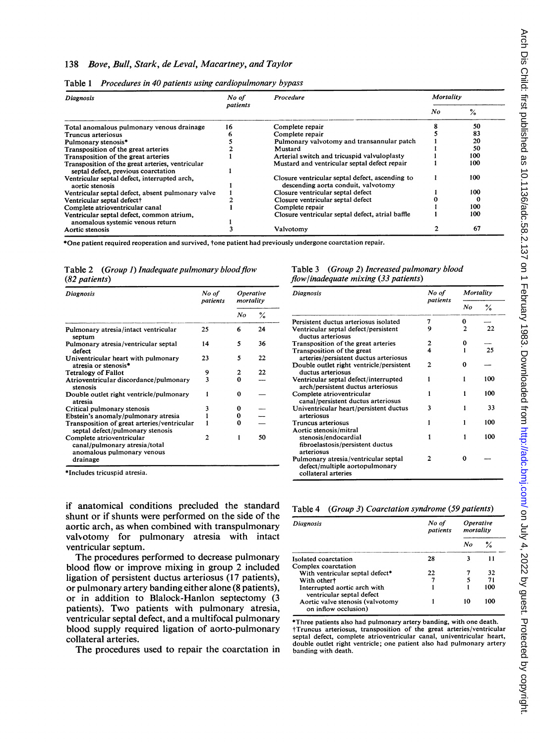### 138 Bove, Bull, Stark, de Leval, Macartney, and Taylor

| <b>Diagnosis</b>                                                                        | No of    | <b>Procedure</b>                                                                       |    | Mortality |  |
|-----------------------------------------------------------------------------------------|----------|----------------------------------------------------------------------------------------|----|-----------|--|
|                                                                                         | patients |                                                                                        | No | $\%$      |  |
| Total anomalous pulmonary venous drainage                                               | 16       | Complete repair                                                                        |    | 50        |  |
| Truncus arteriosus                                                                      |          | Complete repair                                                                        |    | 83        |  |
| Pulmonary stenosis*                                                                     |          | Pulmonary valvotomy and transannular patch                                             |    | 20        |  |
| Transposition of the great arteries                                                     |          | Mustard                                                                                |    | 50        |  |
| Transposition of the great arteries                                                     |          | Arterial switch and tricuspid valvuloplasty                                            |    | 100       |  |
| Transposition of the great arteries, ventricular<br>septal defect, previous coarctation |          | Mustard and ventricular septal defect repair                                           |    | 100       |  |
| Ventricular septal defect, interrupted arch,<br>aortic stenosis                         |          | Closure ventricular septal defect, ascending to<br>descending aorta conduit, valvotomy |    | 100       |  |
| Ventricular septal defect, absent pulmonary valve                                       |          | Closure ventricular septal defect                                                      |    | 100       |  |
| Ventricular septal defect†                                                              |          | Closure ventricular septal defect                                                      |    |           |  |
| Complete atrioventricular canal                                                         |          | Complete repair                                                                        |    | 100       |  |
| Ventricular septal defect, common atrium,<br>anomalous systemic venous return           |          | Closure ventricular septal defect, atrial baffle                                       |    | 100       |  |
| Aortic stenosis                                                                         |          | Valvotomv                                                                              |    | 67        |  |

|  |  |  | Table 1 Procedures in 40 patients using cardiopulmonary bypass |  |
|--|--|--|----------------------------------------------------------------|--|
|--|--|--|----------------------------------------------------------------|--|

\*One patient required reoperation and survived, tone patient had previously undergone coarctation repair.

Table 2 (Group 1) Inadequate pulmonary blood flow (82 patients)

| <b>Diagnosis</b>                                                                         | No of<br>patients | <i><b>Operative</b></i><br>mortality |               | <b>Diagnosis</b>                                      |  |
|------------------------------------------------------------------------------------------|-------------------|--------------------------------------|---------------|-------------------------------------------------------|--|
|                                                                                          |                   | No                                   | $\frac{6}{2}$ |                                                       |  |
|                                                                                          |                   |                                      |               | Persistent ductus ar                                  |  |
| Pulmonary atresia/intact ventricular<br>septum                                           | 25                | 6                                    | 24            | Ventricular septal d<br>ductus arteriosus             |  |
| Pulmonary atresia/ventricular septal<br>defect                                           | 14                | 5                                    | 36            | Transposition of the<br>Transposition of the          |  |
| Univentricular heart with pulmonary<br>atresia or stenosis*                              | 23                | 5                                    | 22            | arteries/persisten<br>Double outlet right             |  |
| <b>Tetralogy of Fallot</b>                                                               | 9                 | 2                                    | 22            | ductus arteriosus                                     |  |
| Atrioventricular discordance/pulmonary<br>stenosis                                       | 3                 | $\bf{0}$                             |               | Ventricular septal d<br>arch/persistent di            |  |
| Double outlet right ventricle/pulmonary<br>atresia                                       |                   | 0                                    |               | Complete atriovent<br>canal/persistent c              |  |
| Critical pulmonary stenosis                                                              | 3                 | 0                                    |               | Univentricular hear                                   |  |
| Ebstein's anomaly/pulmonary atresia                                                      |                   | 0                                    |               | arteriosus                                            |  |
| Transposition of great arteries/ventricular<br>septal defect/pulmonary stenosis          |                   | $\bf{0}$                             |               | Truncus arteriosus<br>Aortic stenosis/miti            |  |
| Complete atrioventricular<br>canal/pulmonary atresia/total<br>anomalous pulmonary venous | $\overline{c}$    |                                      | 50            | stenosis/endocaro<br>fibroelastosis/per<br>arteriosus |  |
| drainage                                                                                 |                   |                                      |               | Pulmonary atresia/<br>defect implicate a              |  |

\*Includes tricuspid atresia.

if anatomical conditions precluded the standard shunt or if shunts were performed on the side of the aortic arch, as when combined with transpulmonary valvotomy for pulmonary atresia with intact ventricular septum.

The procedures performed to decrease pulmonary blood flow or improve mixing in group 2 included ligation of persistent ductus arteriosus (17 patients), or pulmonary artery banding either alone (8 patients), or in addition to Blalock-Hanlon septectomy (3 patients). Two patients with pulmonary atresia, ventricular septal defect, and a multifocal pulmonary blood supply required ligation of aorto-pulmonary collateral arteries.

The procedures used to repair the coarctation in

#### Table 3 (Group 2) Increased pulmonary blood flow/inadequate mixing (33 patients)

| No of    | <i><b>Operative</b></i> |    | <b>Diagnosis</b>                                                                              | No of    | Mortality |     |
|----------|-------------------------|----|-----------------------------------------------------------------------------------------------|----------|-----------|-----|
| patients | mortality               |    |                                                                                               | patients | No        | ℅   |
|          | No                      | ℅  |                                                                                               |          |           |     |
|          |                         |    | Persistent ductus arteriosus isolated                                                         |          | 0         |     |
| 25       | 6                       | 24 | Ventricular septal defect/persistent<br>ductus arteriosus                                     | 9        | 2         | 22  |
| 14       | 5                       | 36 | Transposition of the great arteries                                                           |          | 0         |     |
|          |                         |    | Transposition of the great                                                                    | 4        |           | 25  |
| 23       | 5                       | 22 | arteries/persistent ductus arteriosus                                                         |          |           |     |
|          |                         |    | Double outlet right ventricle/persistent                                                      | 2        | 0         |     |
| 9        | 2                       | 22 | ductus arteriosus                                                                             |          |           |     |
| 3        | $\bf{0}$                |    | Ventricular septal defect/interrupted<br>arch/persistent ductus arteriosus                    |          |           | 100 |
|          | 0                       |    | Complete atrioventricular<br>canal/persistent ductus arteriosus                               |          |           | 100 |
| 3        | 0                       |    | Univentricular heart/persistent ductus                                                        | 3        |           | 33  |
|          | 0                       |    | arteriosus                                                                                    |          |           |     |
|          | 0                       |    | Truncus arteriosus                                                                            |          |           | 100 |
|          |                         |    | Aortic stenosis/mitral                                                                        |          |           |     |
| 2        |                         | 50 | stenosis/endocardial<br>fibroelastosis/persistent ductus<br>arteriosus                        |          | 1         | 100 |
|          |                         |    | Pulmonary atresia/ventricular septal<br>defect/multiple aortopulmonary<br>collateral arteries | 2        | 0         |     |

# Table 4 (Group 3) Coarctation syndrome (59 patients)

| Diagnosis                                                 | No of<br>patients | Operative<br>mortality |     |
|-----------------------------------------------------------|-------------------|------------------------|-----|
|                                                           |                   | No                     | ℅   |
| Isolated coarctation                                      | 28                |                        | 11  |
| Complex coarctation                                       |                   |                        |     |
| With ventricular septal defect*                           | 22                |                        | 32  |
| With other <sup>+</sup>                                   |                   |                        | 71  |
| Interrupted aortic arch with<br>ventricular septal defect |                   |                        | 100 |
| Aortic valve stenosis (valvotomy<br>on inflow occlusion)  |                   | 10                     | 100 |

\*Three patients also had pulmonary artery banding, with one death. tTruncus arteriosus, transposition of the great arteries/ventricular septal defect, complete atrioventricular canal, univentricular heart, double outlet right ventricle; one patient also had pulmonary artery banding with death.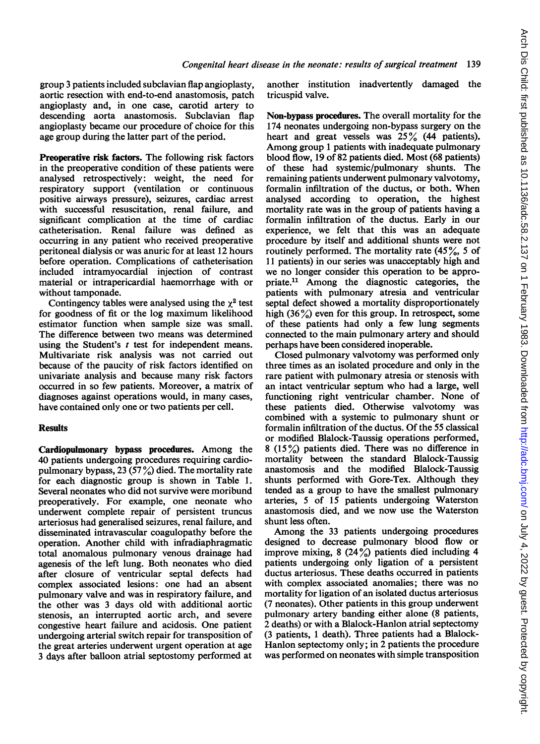group 3 patients included subclavian flap angioplasty, aortic resection with end-to-end anastomosis, patch angioplasty and, in one case, carotid artery to descending aorta anastomosis. Subclavian flap angioplasty became our procedure of choice for this age group during the latter part of the period.

Preoperative risk factors. The following risk factors in the preoperative condition of these patients were analysed retrospectively: weight, the need for respiratory support (ventilation or continuous positive airways pressure), seizures, cardiac arrest with successful resuscitation, renal failure, and significant complication at the time of cardiac catheterisation. Renal failure was defined as occurring in any patient who received preoperative peritoneal dialysis or was anuric for at least 12 hours before operation. Complications of catheterisation included intramyocardial injection of contrast material or intrapericardial haemorrhage with or without tamponade.

Contingency tables were analysed using the  $\gamma^2$  test for goodness of fit or the log maximum likelihood estimator function when sample size was small. The difference between two means was determined using the Student's  $t$  test for independent means. Multivariate risk analysis was not carried out because of the paucity of risk factors identified on univariate analysis and because many risk factors occurred in so few patients. Moreover, a matrix of diagnoses against operations would, in many cases, have contained only one or two patients per cell.

# **Results**

Cardiopulmonary bypass procedures. Among the 40 patients undergoing procedures requiring cardiopulmonary bypass, 23 (57%) died. The mortality rate for each diagnostic group is shown in Table 1. Several neonates who did not survive were moribund preoperatively. For example, one neonate who underwent complete repair of persistent truncus arteriosus had generalised seizures, renal failure, and disseminated intravascular coagulopathy before the operation. Another child with infradiaphragmatic total anomalous pulmonary venous drainage had agenesis of the left lung. Both neonates who died after closure of ventricular septal defects had complex associated lesions: one had an absent pulmonary valve and was in respiratory failure, and the other was 3 days old with additional aortic stenosis, an interrupted aortic arch, and severe congestive heart failure and acidosis. One patient undergoing arterial switch repair for transposition of the great arteries underwent urgent operation at age 3 days after balloon atrial septostomy performed at another institution inadvertently damaged the tricuspid valve.

Non-bypass procedures. The overall mortality for the 174 neonates undergoing non-bypass surgery on the heart and great vessels was  $25\%$  (44 patients). Among group <sup>1</sup> patients with inadequate pulmonary blood flow, 19 of 82 patients died. Most (68 patients) of these had systemic/pulmonary shunts. The remaining patients underwent pulmonary valvotomy, formalin infiltration of the ductus, or both. When analysed according to operation, the highest mortality rate was in the group of patients having a formalin infiltration of the ductus. Early in our experience, we felt that this was an adequate procedure by itself and additional shunts were not routinely performed. The mortality rate  $(45\%, 5 \text{ of}$ 11 patients) in our series was unacceptably high and we no longer consider this operation to be appropriate.1" Among the diagnostic categories, the patients with pulmonary atresia and ventricular septal defect showed a mortality disproportionately high  $(36\%)$  even for this group. In retrospect, some of these patients had only a few lung segments connected to the main pulmonary artery and should perhaps have been considered inoperable.

Closed pulmonary valvotomy was performed only three times as an isolated procedure and only in the rare patient with pulmonary atresia or stenosis with an intact ventricular septum who had a large, well functioning right ventricular chamber. None of these patients died. Otherwise valvotomy was combined with a systemic to pulmonary shunt or formalin infiltration of the ductus. Of the 55 classical or modified Blalock-Taussig operations performed, 8 (15%) patients died. There was no difference in mortality between the standard Blalock-Taussig anastomosis and the modified Blalock-Taussig shunts performed with Gore-Tex. Although they tended as a group to have the smallest pulmonary arteries, 5 of 15 patients undergoing Waterston anastomosis died, and we now use the Waterston shunt less often.

Among the 33 patients undergoing procedures designed to decrease pulmonary blood flow or improve mixing, 8 (24%) patients died including 4 patients undergoing only ligation of a persistent ductus arteriosus. These deaths occurred in patients with complex associated anomalies; there was no mortality for ligation of an isolated ductus arteriosus (7 neonates). Other patients in this group underwent pulmonary artery banding either alone (8 patients, 2 deaths) or with a Blalock-Hanlon atrial septectomy (3 patients, <sup>1</sup> death). Three patients had a Blalock-Hanlon septectomy only; in 2 patients the procedure was performed on neonates with simple transposition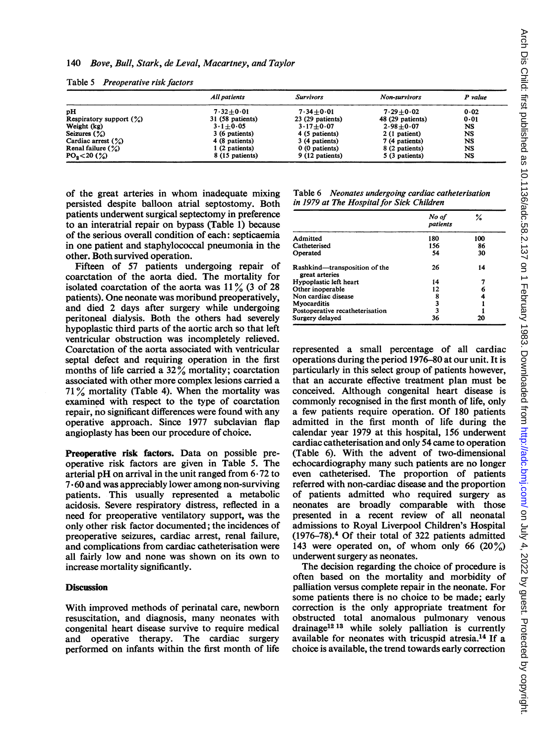|                            | All patients             | <b>Survivors</b>  | Non-survivors    | P value |
|----------------------------|--------------------------|-------------------|------------------|---------|
| pH                         | $7.32 + 0.01$            | $7.34 + 0.01$     | $7.29 + 0.02$    | 0.02    |
| Respiratory support $(\%)$ | 31 (58 patients)         | $23(29$ patients) | 48 (29 patients) | 0.01    |
| Weight (kg)                | $3 \cdot 1 + 0 \cdot 05$ | $3.17 + 0.07$     | $2.98 + 0.07$    | NS      |
| Seizures $(\%)$            | 3 (6 patients)           | 4 (5 patients)    | 2 (1 patient)    | NS      |
| Cardiac arrest $(\%)$      | 4 (8 patients)           | 3 (4 patients)    | 7 (4 patients)   | NS      |
| Renal failure $(\%)$       | 1 (2 patients)           | 0 (0 patients)    | 8 (2 patients)   | NS      |
| $PO_2 < 20$ (%)            | 8 (15 patients)          | 9 (12 patients)   | 5 (3 patients)   | NS      |

Table 5 Preoperative risk factors

of the great arteries in whom inadequate mixing persisted despite balloon atrial septostomy. Both patients underwent surgical septectomy in preference to an interatrial repair on bypass (Table 1) because of the serious overall condition of each: septicaemia in one patient and staphylococcal pneumonia in the other. Both survived operation.

Fifteen of 57 patients undergoing repair of coarctation of the aorta died. The mortality for isolated coarctation of the aorta was  $11\%$  (3 of 28 patients). One neonate was moribund preoperatively, and died 2 days after surgery while undergoing peritoneal dialysis. Both the others had severely hypoplastic third parts of the aortic arch so that left ventricular obstruction was incompletely relieved. Coarctation of the aorta associated with ventricular septal defect and requiring operation in the first months of life carried a  $32\%$  mortality; coarctation associated with other more complex lesions carried a  $71\%$  mortality (Table 4). When the mortality was examined with respect to the type of coarctation repair, no significant differences were found with any operative approach. Since 1977 subclavian flap angioplasty has been our procedure of choice.

Preoperative risk factors. Data on possible preoperative risk factors are given in Table 5. The arterial pH on arrival in the unit ranged from  $6-72$  to 7- 60 and was appreciably lower among non-surviving patients. This usually represented a metabolic acidosis. Severe respiratory distress, reflected in a need for preoperative ventilatory support, was the only other risk factor documented; the incidences of preoperative seizures, cardiac arrest, renal failure, and complications from cardiac catheterisation were all fairly low and none was shown on its own to increase mortality significantly.

#### **Discussion**

With improved methods of perinatal care, newborn resuscitation, and diagnosis, many neonates with congenital heart disease survive to require medical and operative therapy. The cardiac surgery performed on infants within the first month of life

| Table 6 Neonates undergoing cardiac catheterisation |
|-----------------------------------------------------|
| in 1979 at The Hospital for Sick Children           |

|                                                 | No of<br>patients | ℅   |
|-------------------------------------------------|-------------------|-----|
| Admitted                                        | 180               | 100 |
| Catheterised                                    | 156               | 86  |
| Operated                                        | 54                | 30  |
| Rashkind—transposition of the<br>great arteries | 26                | 14  |
| Hypoplastic left heart                          | 14                |     |
| Other inoperable                                | 12                |     |
| Non cardiac disease                             | 8                 |     |
| Myocarditis                                     | 3                 |     |
| Postoperative recatheterisation                 | 3                 |     |
| Surgery delayed                                 | 36                | 20  |

represented a small percentage of all cardiac operations during the period 1976-80 at our unit. It is particularly in this select group of patients however, that an accurate effective treatment plan must be conceived. Although congenital heart disease is commonly recognised in the first month of life, only a few patients require operation. Of 180 patients admitted in the first month of life during the calendar year 1979 at this hospital, 156 underwent cardiac catheterisation and only 54 came to operation (Table 6). With the advent of two-dimensional echocardiography many such patients are no longer even catheterised. The proportion of patients referred with non-cardiac disease and the proportion of patients admitted who required surgery as neonates are broadly comparable with those presented in a recent review of all neonatal admissions to Royal Liverpool Children's Hospital (1976-78).4 Of their total of 322 patients admitted 143 were operated on, of whom only 66  $(20\%)$ underwent surgery as neonates.

The decision regarding the choice of procedure is often based on the mortality and morbidity of palliation versus complete repair in the neonate. For some patients there is no choice to be made; early correction is the only appropriate treatment for obstructed total anomalous pulmonary venous drainage<sup>12 13</sup> while solely palliation is currently available for neonates with tricuspid atresia.14 If a choice is available, the trend towards early correction